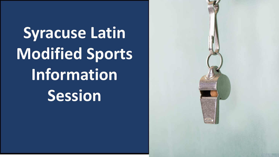**Syracuse Latin Modified Sports Information Session**

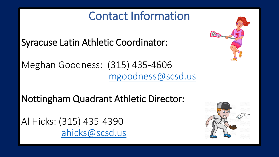## Contact Information

Syracuse Latin Athletic Coordinator:

Meghan Goodness: (315) 435-4606 [mgoodness@scsd.us](mailto:mgoodness@scsd.us)

Nottingham Quadrant Athletic Director:

Al Hicks: (315) 435-4390 [ahicks@scsd.us](mailto:ahicks@scsd.us)

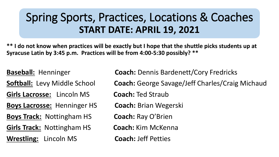## Spring Sports, Practices, Locations & Coaches **START DATE: APRIL 19, 2021**

**\*\* I do not know when practices will be exactly but I hope that the shuttle picks students up at Syracuse Latin by 3:45 p.m. Practices will be from 4:00-5:30 possibly? \*\***

**Girls Lacrosse:** Lincoln MS **Coach:** Ted Straub **Boys Lacrosse:** Henninger HS **Coach:** Brian Wegerski **Boys Track:** Nottingham HS **Coach:** Ray O'Brien **Girls Track:** Nottingham HS **Coach:** Kim McKenna **Wrestling:** Lincoln MS **Coach:** Jeff Petties

**Baseball:** Henninger **Coach:** Dennis Bardenett/Cory Fredricks

**Softball:** Levy Middle School **Coach:** George Savage/Jeff Charles/Craig Michaud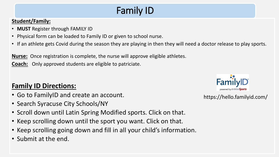## Family ID

#### **Student/Family:**

- **MUST** Register through FAMILY ID
- Physical form can be loaded to Family ID or given to school nurse.
- If an athlete gets Covid during the season they are playing in then they will need a doctor release to play sports.

**Nurse:** Once registration is complete, the nurse will approve eligible athletes.

**Coach:** Only approved students are eligible to patriciate.

#### **Family ID Directions:**

- Go to FamilyID and create an account.
- Search Syracuse City Schools/NY
- Scroll down until Latin Spring Modified sports. Click on that.
- Keep scrolling down until the sport you want. Click on that.
- Keep scrolling going down and fill in all your child's information.
- Submit at the end.



https://hello.familyid.com/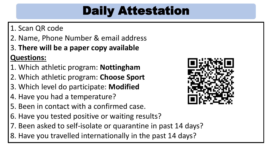# Daily Attestation

#### 1. Scan QR code

2. Name, Phone Number & email address

### 3. **There will be a paper copy available Questions:**

- 1. Which athletic program: **Nottingham**
- 2. Which athletic program: **Choose Sport**
- 3. Which level do participate: **Modified**
- 4. Have you had a temperature?
- 5. Been in contact with a confirmed case.
- 6. Have you tested positive or waiting results?
- 7. Been asked to self-isolate or quarantine in past 14 days?
- 8. Have you travelled internationally in the past 14 days?

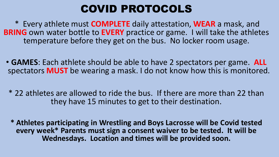### COVID PROTOCOLS

\* Every athlete must **COMPLETE** daily attestation, **WEAR** a mask, and **BRING** own water bottle to **EVERY** practice or game. I will take the athletes temperature before they get on the bus. No locker room usage.

- **GAMES**: Each athlete should be able to have 2 spectators per game. **ALL** spectators **MUST** be wearing a mask. I do not know how this is monitored.
	- \* 22 athletes are allowed to ride the bus. If there are more than 22 than they have 15 minutes to get to their destination.
	- **\* Athletes participating in Wrestling and Boys Lacrosse will be Covid tested every week\* Parents must sign a consent waiver to be tested. It will be Wednesdays. Location and times will be provided soon.**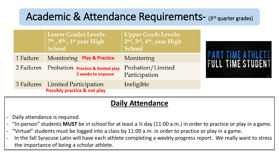### Academic & Attendance Requirements- (3rd quarter grades)

|           | <b>Lower Grades Levels:</b><br>$7th$ , $8th$ , $1st$ year High<br><b>School</b> | <b>Upper Grade Levels:</b><br>$2nd$ , $3rd$ , $4th$ , year High<br><b>School</b> | <b>PART TIME ATHLETE</b><br><b>FULL TIME STUDENT</b> |
|-----------|---------------------------------------------------------------------------------|----------------------------------------------------------------------------------|------------------------------------------------------|
| 1 Failure | Monitoring Play & Practice                                                      | Monitoring                                                                       |                                                      |
|           | 2 Failures Probation Practice & limited play<br>2 weeks to improve              | Probation/Limited<br>Participation                                               |                                                      |
|           | 3 Failures Limited Participation<br><b>Possibly practice &amp; not play</b>     | Ineligible                                                                       |                                                      |

#### **Daily Attendance**

- Daily attendance is required.
- "In-person" students **MUST** be in school for at least a ½ day (11:00 a.m.) in order to practice or play in a game.
- "Virtual" students must be logged into a class by 11:00 a.m. in order to practice or play in a game.
- In the fall Syracuse Latin will have each athlete completing a weekly progress report. We really want to stress the importance of being a scholar athlete.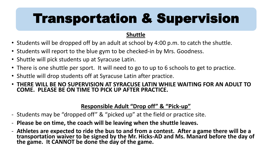# Transportation & Supervision

#### **Shuttle**

- Students will be dropped off by an adult at school by 4:00 p.m. to catch the shuttle.
- Students will report to the blue gym to be checked-in by Mrs. Goodness.
- Shuttle will pick students up at Syracuse Latin.
- There is one shuttle per sport. It will need to go to up to 6 schools to get to practice.
- Shuttle will drop students off at Syracuse Latin after practice.
- **THERE WILL BE NO SUPERVISION AT SYRACUSE LATIN WHILE WAITING FOR AN ADULT TO COME. PLEASE BE ON TIME TO PICK UP AFTER PRACTICE.**

#### **Responsible Adult "Drop off" & "Pick-up"**

- Students may be "dropped off" & "picked up" at the field or practice site.
- **Please be on time, the coach will be leaving when the shuttle leaves.**
- **Athletes are expected to ride the bus to and from a contest. After a game there will be a transportation waiver to be signed by the Mr. Hicks-AD and Ms. Manard before the day of the game. It CANNOT be done the day of the game.**